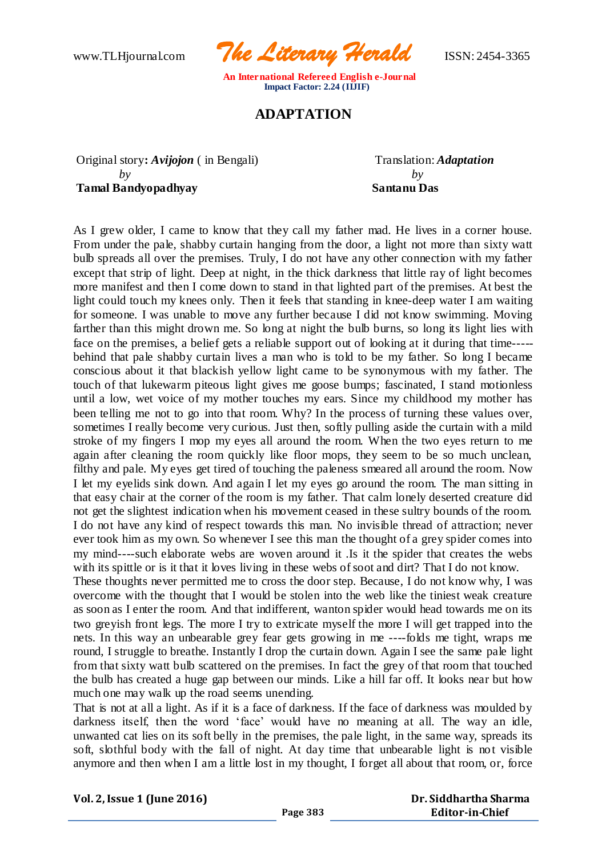www.TLHjournal.com *The Literary Herald*ISSN: 2454-3365

## **ADAPTATION**

Original story: *Avijojon* (in Bengali) Translation: *Adaptation by by* **Tamal Bandyopadhyay Santanu Das**

As I grew older, I came to know that they call my father mad. He lives in a corner house. From under the pale, shabby curtain hanging from the door, a light not more than sixty watt bulb spreads all over the premises. Truly, I do not have any other connection with my father except that strip of light. Deep at night, in the thick darkness that little ray of light becomes more manifest and then I come down to stand in that lighted part of the premises. At best the light could touch my knees only. Then it feels that standing in knee-deep water I am waiting for someone. I was unable to move any further because I did not know swimming. Moving farther than this might drown me. So long at night the bulb burns, so long its light lies with face on the premises, a belief gets a reliable support out of looking at it during that time---- behind that pale shabby curtain lives a man who is told to be my father. So long I became conscious about it that blackish yellow light came to be synonymous with my father. The touch of that lukewarm piteous light gives me goose bumps; fascinated, I stand motionless until a low, wet voice of my mother touches my ears. Since my childhood my mother has been telling me not to go into that room. Why? In the process of turning these values over, sometimes I really become very curious. Just then, softly pulling aside the curtain with a mild stroke of my fingers I mop my eyes all around the room. When the two eyes return to me again after cleaning the room quickly like floor mops, they seem to be so much unclean, filthy and pale. My eyes get tired of touching the paleness smeared all around the room. Now I let my eyelids sink down. And again I let my eyes go around the room. The man sitting in that easy chair at the corner of the room is my father. That calm lonely deserted creature did not get the slightest indication when his movement ceased in these sultry bounds of the room. I do not have any kind of respect towards this man. No invisible thread of attraction; never ever took him as my own. So whenever I see this man the thought of a grey spider comes into my mind----such elaborate webs are woven around it .Is it the spider that creates the webs with its spittle or is it that it loves living in these webs of soot and dirt? That I do not know.

These thoughts never permitted me to cross the door step. Because, I do not know why, I was overcome with the thought that I would be stolen into the web like the tiniest weak creature as soon as I enter the room. And that indifferent, wanton spider would head towards me on its two greyish front legs. The more I try to extricate myself the more I will get trapped into the nets. In this way an unbearable grey fear gets growing in me ----folds me tight, wraps me round, I struggle to breathe. Instantly I drop the curtain down. Again I see the same pale light from that sixty watt bulb scattered on the premises. In fact the grey of that room that touched the bulb has created a huge gap between our minds. Like a hill far off. It looks near but how much one may walk up the road seems unending.

That is not at all a light. As if it is a face of darkness. If the face of darkness was moulded by darkness itself, then the word 'face' would have no meaning at all. The way an idle, unwanted cat lies on its soft belly in the premises, the pale light, in the same way, spreads its soft, slothful body with the fall of night. At day time that unbearable light is not visible anymore and then when I am a little lost in my thought, I forget all about that room, or, force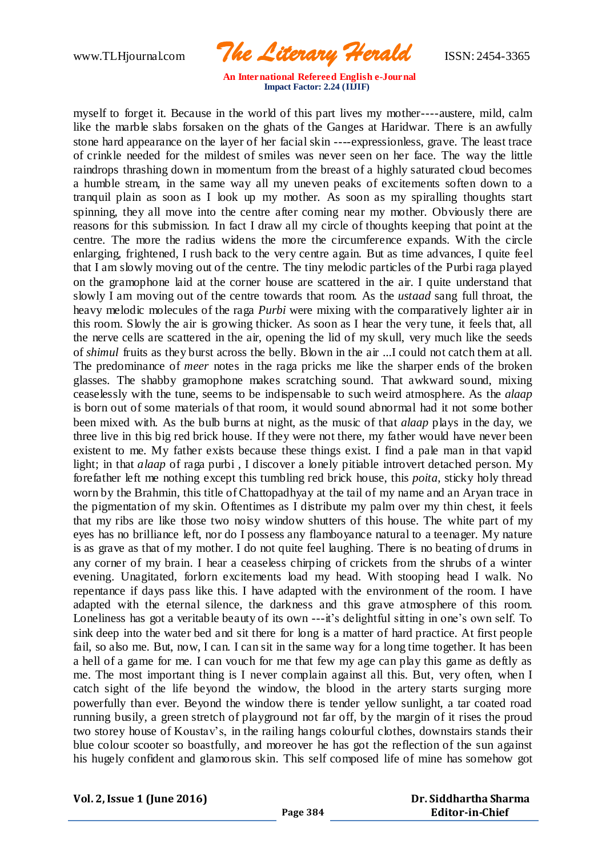www.TLHjournal.com *The Literary Herald*ISSN: 2454-3365

myself to forget it. Because in the world of this part lives my mother----austere, mild, calm like the marble slabs forsaken on the ghats of the Ganges at Haridwar. There is an awfully stone hard appearance on the layer of her facial skin ----expressionless, grave. The least trace of crinkle needed for the mildest of smiles was never seen on her face. The way the little raindrops thrashing down in momentum from the breast of a highly saturated cloud becomes a humble stream, in the same way all my uneven peaks of excitements soften down to a tranquil plain as soon as I look up my mother. As soon as my spiralling thoughts start spinning, they all move into the centre after coming near my mother. Obviously there are reasons for this submission. In fact I draw all my circle of thoughts keeping that point at the centre. The more the radius widens the more the circumference expands. With the circle enlarging, frightened, I rush back to the very centre again. But as time advances, I quite feel that I am slowly moving out of the centre. The tiny melodic particles of the Purbi raga played on the gramophone laid at the corner house are scattered in the air. I quite understand that slowly I am moving out of the centre towards that room. As the *ustaad* sang full throat, the heavy melodic molecules of the raga *Purbi* were mixing with the comparatively lighter air in this room. Slowly the air is growing thicker. As soon as I hear the very tune, it feels that, all the nerve cells are scattered in the air, opening the lid of my skull, very much like the seeds of *shimul* fruits as they burst across the belly. Blown in the air ...I could not catch them at all. The predominance of *meer* notes in the raga pricks me like the sharper ends of the broken glasses. The shabby gramophone makes scratching sound. That awkward sound, mixing ceaselessly with the tune, seems to be indispensable to such weird atmosphere. As the *alaap* is born out of some materials of that room, it would sound abnormal had it not some bother been mixed with. As the bulb burns at night, as the music of that *alaap* plays in the day, we three live in this big red brick house. If they were not there, my father would have never been existent to me. My father exists because these things exist. I find a pale man in that vapid light; in that *alaap* of raga purbi, I discover a lonely pitiable introvert detached person. My forefather left me nothing except this tumbling red brick house, this *poita*, sticky holy thread worn by the Brahmin, this title of Chattopadhyay at the tail of my name and an Aryan trace in the pigmentation of my skin. Oftentimes as I distribute my palm over my thin chest, it feels that my ribs are like those two noisy window shutters of this house. The white part of my eyes has no brilliance left, nor do I possess any flamboyance natural to a teenager. My nature is as grave as that of my mother. I do not quite feel laughing. There is no beating of drums in any corner of my brain. I hear a ceaseless chirping of crickets from the shrubs of a winter evening. Unagitated, forlorn excitements load my head. With stooping head I walk. No repentance if days pass like this. I have adapted with the environment of the room. I have adapted with the eternal silence, the darkness and this grave atmosphere of this room. Loneliness has got a veritable beauty of its own ---it's delightful sitting in one's own self. To sink deep into the water bed and sit there for long is a matter of hard practice. At first people fail, so also me. But, now, I can. I can sit in the same way for a long time together. It has been a hell of a game for me. I can vouch for me that few my age can play this game as deftly as me. The most important thing is I never complain against all this. But, very often, when I catch sight of the life beyond the window, the blood in the artery starts surging more powerfully than ever. Beyond the window there is tender yellow sunlight, a tar coated road running busily, a green stretch of playground not far off, by the margin of it rises the proud two storey house of Koustav's, in the railing hangs colourful clothes, downstairs stands their blue colour scooter so boastfully, and moreover he has got the reflection of the sun against his hugely confident and glamorous skin. This self composed life of mine has somehow got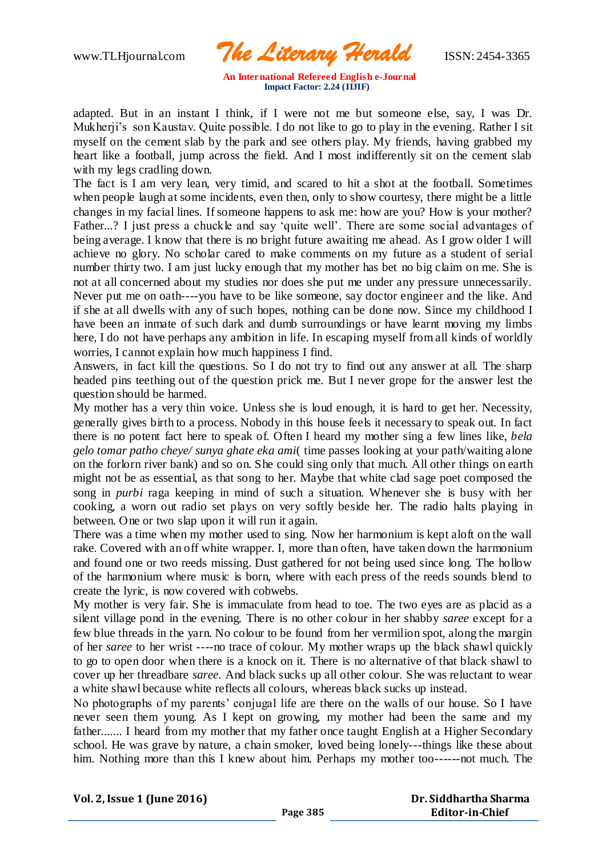www.TLHjournal.com *The Literary Herald*ISSN: 2454-3365

adapted. But in an instant I think, if I were not me but someone else, say, I was Dr. Mukherji's son Kaustav. Quite possible. I do not like to go to play in the evening. Rather I sit myself on the cement slab by the park and see others play. My friends, having grabbed my heart like a football, jump across the field. And I most indifferently sit on the cement slab with my legs cradling down.

The fact is I am very lean, very timid, and scared to hit a shot at the football. Sometimes when people laugh at some incidents, even then, only to show courtesy, there might be a little changes in my facial lines. If someone happens to ask me: how are you? How is your mother? Father...? I just press a chuckle and say 'quite well'. There are some social advantages of being average. I know that there is no bright future awaiting me ahead. As I grow older I will achieve no glory. No scholar cared to make comments on my future as a student of serial number thirty two. I am just lucky enough that my mother has bet no big claim on me. She is not at all concerned about my studies nor does she put me under any pressure unnecessarily. Never put me on oath----you have to be like someone, say doctor engineer and the like. And if she at all dwells with any of such hopes, nothing can be done now. Since my childhood I have been an inmate of such dark and dumb surroundings or have learnt moving my limbs here, I do not have perhaps any ambition in life. In escaping myself from all kinds of worldly worries, I cannot explain how much happiness I find.

Answers, in fact kill the questions. So I do not try to find out any answer at all. The sharp headed pins teething out of the question prick me. But I never grope for the answer lest the question should be harmed.

My mother has a very thin voice. Unless she is loud enough, it is hard to get her. Necessity, generally gives birth to a process. Nobody in this house feels it necessary to speak out. In fact there is no potent fact here to speak of. Often I heard my mother sing a few lines like, *bela gelo tomar patho cheye/ sunya ghate eka ami*( time passes looking at your path/waiting alone on the forlorn river bank) and so on. She could sing only that much. All other things on earth might not be as essential, as that song to her. Maybe that white clad sage poet composed the song in *purbi* raga keeping in mind of such a situation. Whenever she is busy with her cooking, a worn out radio set plays on very softly beside her. The radio halts playing in between. One or two slap upon it will run it again.

There was a time when my mother used to sing. Now her harmonium is kept aloft on the wall rake. Covered with an off white wrapper. I, more than often, have taken down the harmonium and found one or two reeds missing. Dust gathered for not being used since long. The hollow of the harmonium where music is born, where with each press of the reeds sounds blend to create the lyric, is now covered with cobwebs.

My mother is very fair. She is immaculate from head to toe. The two eyes are as placid as a silent village pond in the evening. There is no other colour in her shabby *saree* except for a few blue threads in the yarn. No colour to be found from her vermilion spot, along the margin of her *saree* to her wrist ----no trace of colour. My mother wraps up the black shawl quickly to go to open door when there is a knock on it. There is no alternative of that black shawl to cover up her threadbare *saree*. And black sucks up all other colour. She was reluctant to wear a white shawl because white reflects all colours, whereas black sucks up instead.

No photographs of my parents' conjugal life are there on the walls of our house. So I have never seen them young. As I kept on growing, my mother had been the same and my father....... I heard from my mother that my father once taught English at a Higher Secondary school. He was grave by nature, a chain smoker, loved being lonely---things like these about him. Nothing more than this I knew about him. Perhaps my mother too------not much. The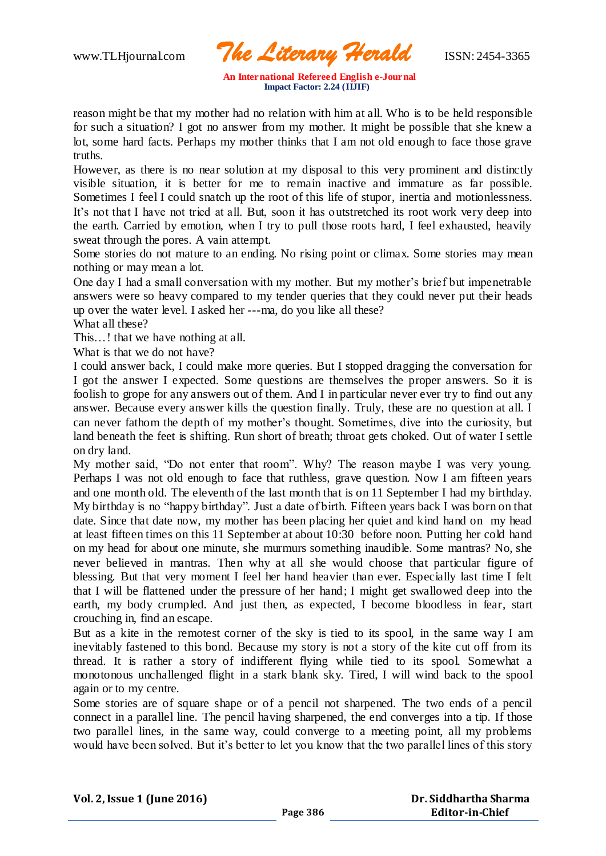www.TLHjournal.com *The Literary Herald*ISSN: 2454-3365

reason might be that my mother had no relation with him at all. Who is to be held responsible for such a situation? I got no answer from my mother. It might be possible that she knew a lot, some hard facts. Perhaps my mother thinks that I am not old enough to face those grave truths.

However, as there is no near solution at my disposal to this very prominent and distinctly visible situation, it is better for me to remain inactive and immature as far possible. Sometimes I feel I could snatch up the root of this life of stupor, inertia and motionlessness. It's not that I have not tried at all. But, soon it has outstretched its root work very deep into the earth. Carried by emotion, when I try to pull those roots hard, I feel exhausted, heavily sweat through the pores. A vain attempt.

Some stories do not mature to an ending. No rising point or climax. Some stories may mean nothing or may mean a lot.

One day I had a small conversation with my mother. But my mother's brief but impenetrable answers were so heavy compared to my tender queries that they could never put their heads up over the water level. I asked her ---ma, do you like all these?

What all these?

This…! that we have nothing at all.

What is that we do not have?

I could answer back, I could make more queries. But I stopped dragging the conversation for I got the answer I expected. Some questions are themselves the proper answers. So it is foolish to grope for any answers out of them. And I in particular never ever try to find out any answer. Because every answer kills the question finally. Truly, these are no question at all. I can never fathom the depth of my mother's thought. Sometimes, dive into the curiosity, but land beneath the feet is shifting. Run short of breath; throat gets choked. Out of water I settle on dry land.

My mother said, "Do not enter that room". Why? The reason maybe I was very young. Perhaps I was not old enough to face that ruthless, grave question. Now I am fifteen years and one month old. The eleventh of the last month that is on 11 September I had my birthday. My birthday is no "happy birthday". Just a date of birth. Fifteen years back I was born on that date. Since that date now, my mother has been placing her quiet and kind hand on my head at least fifteen times on this 11 September at about 10:30 before noon. Putting her cold hand on my head for about one minute, she murmurs something inaudible. Some mantras? No, she never believed in mantras. Then why at all she would choose that particular figure of blessing. But that very moment I feel her hand heavier than ever. Especially last time I felt that I will be flattened under the pressure of her hand; I might get swallowed deep into the earth, my body crumpled. And just then, as expected, I become bloodless in fear, start crouching in, find an escape.

But as a kite in the remotest corner of the sky is tied to its spool, in the same way I am inevitably fastened to this bond. Because my story is not a story of the kite cut off from its thread. It is rather a story of indifferent flying while tied to its spool. Somewhat a monotonous unchallenged flight in a stark blank sky. Tired, I will wind back to the spool again or to my centre.

Some stories are of square shape or of a pencil not sharpened. The two ends of a pencil connect in a parallel line. The pencil having sharpened, the end converges into a tip. If those two parallel lines, in the same way, could converge to a meeting point, all my problems would have been solved. But it's better to let you know that the two parallel lines of this story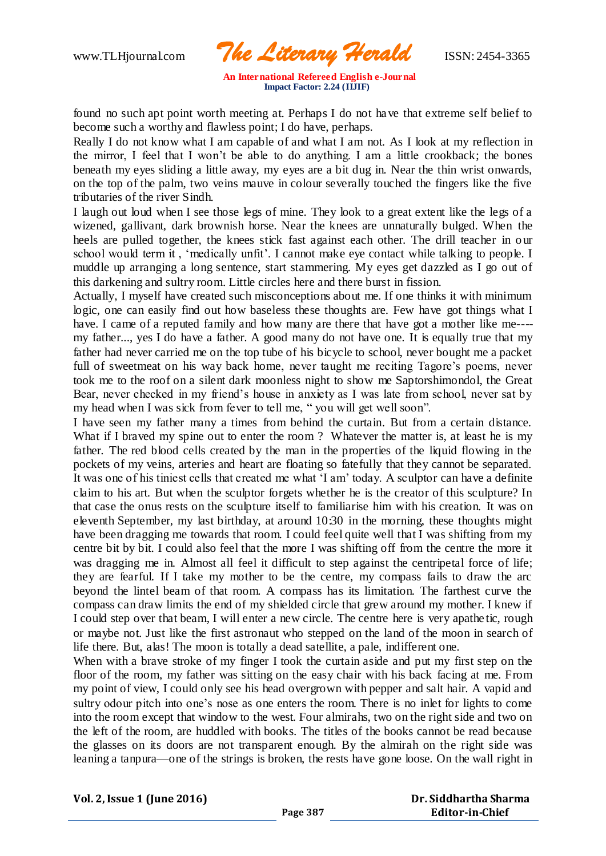www.TLHjournal.com *The Literary Herald*ISSN: 2454-3365

found no such apt point worth meeting at. Perhaps I do not have that extreme self belief to become such a worthy and flawless point; I do have, perhaps.

Really I do not know what I am capable of and what I am not. As I look at my reflection in the mirror, I feel that I won't be able to do anything. I am a little crookback; the bones beneath my eyes sliding a little away, my eyes are a bit dug in. Near the thin wrist onwards, on the top of the palm, two veins mauve in colour severally touched the fingers like the five tributaries of the river Sindh.

I laugh out loud when I see those legs of mine. They look to a great extent like the legs of a wizened, gallivant, dark brownish horse. Near the knees are unnaturally bulged. When the heels are pulled together, the knees stick fast against each other. The drill teacher in our school would term it , 'medically unfit'. I cannot make eye contact while talking to people. I muddle up arranging a long sentence, start stammering. My eyes get dazzled as I go out of this darkening and sultry room. Little circles here and there burst in fission.

Actually, I myself have created such misconceptions about me. If one thinks it with minimum logic, one can easily find out how baseless these thoughts are. Few have got things what I have. I came of a reputed family and how many are there that have got a mother like me---my father..., yes I do have a father. A good many do not have one. It is equally true that my father had never carried me on the top tube of his bicycle to school, never bought me a packet full of sweetmeat on his way back home, never taught me reciting Tagore's poems, never took me to the roof on a silent dark moonless night to show me Saptorshimondol, the Great Bear, never checked in my friend's house in anxiety as I was late from school, never sat by my head when I was sick from fever to tell me, " you will get well soon".

I have seen my father many a times from behind the curtain. But from a certain distance. What if I braved my spine out to enter the room ? Whatever the matter is, at least he is my father. The red blood cells created by the man in the properties of the liquid flowing in the pockets of my veins, arteries and heart are floating so fatefully that they cannot be separated. It was one of his tiniest cells that created me what 'I am' today. A sculptor can have a definite claim to his art. But when the sculptor forgets whether he is the creator of this sculpture? In that case the onus rests on the sculpture itself to familiarise him with his creation. It was on eleventh September, my last birthday, at around 10:30 in the morning, these thoughts might have been dragging me towards that room. I could feel quite well that I was shifting from my centre bit by bit. I could also feel that the more I was shifting off from the centre the more it was dragging me in. Almost all feel it difficult to step against the centripetal force of life; they are fearful. If I take my mother to be the centre, my compass fails to draw the arc beyond the lintel beam of that room. A compass has its limitation. The farthest curve the compass can draw limits the end of my shielded circle that grew around my mother. I knew if I could step over that beam, I will enter a new circle. The centre here is very apathe tic, rough or maybe not. Just like the first astronaut who stepped on the land of the moon in search of life there. But, alas! The moon is totally a dead satellite, a pale, indifferent one.

When with a brave stroke of my finger I took the curtain aside and put my first step on the floor of the room, my father was sitting on the easy chair with his back facing at me. From my point of view, I could only see his head overgrown with pepper and salt hair. A vapid and sultry odour pitch into one's nose as one enters the room. There is no inlet for lights to come into the room except that window to the west. Four almirahs, two on the right side and two on the left of the room, are huddled with books. The titles of the books cannot be read because the glasses on its doors are not transparent enough. By the almirah on the right side was leaning a tanpura—one of the strings is broken, the rests have gone loose. On the wall right in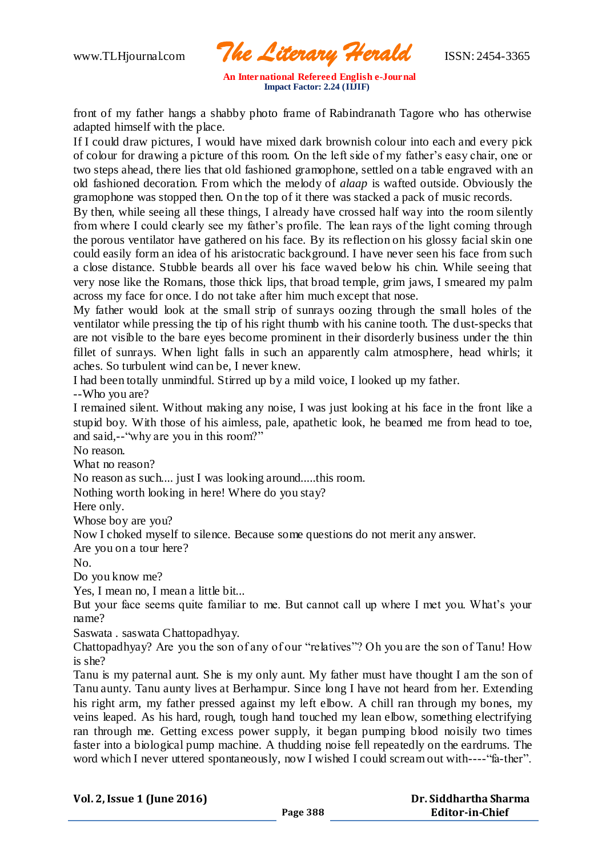www.TLHjournal.com *The Literary Herald*ISSN: 2454-3365

front of my father hangs a shabby photo frame of Rabindranath Tagore who has otherwise adapted himself with the place.

If I could draw pictures, I would have mixed dark brownish colour into each and every pick of colour for drawing a picture of this room. On the left side of my father's easy chair, one or two steps ahead, there lies that old fashioned gramophone, settled on a table engraved with an old fashioned decoration. From which the melody of *alaap* is wafted outside. Obviously the gramophone was stopped then. On the top of it there was stacked a pack of music records.

By then, while seeing all these things, I already have crossed half way into the room silently from where I could clearly see my father's profile. The lean rays of the light coming through the porous ventilator have gathered on his face. By its reflection on his glossy facial skin one could easily form an idea of his aristocratic background. I have never seen his face from such a close distance. Stubble beards all over his face waved below his chin. While seeing that very nose like the Romans, those thick lips, that broad temple, grim jaws, I smeared my palm across my face for once. I do not take after him much except that nose.

My father would look at the small strip of sunrays oozing through the small holes of the ventilator while pressing the tip of his right thumb with his canine tooth. The dust-specks that are not visible to the bare eyes become prominent in their disorderly business under the thin fillet of sunrays. When light falls in such an apparently calm atmosphere, head whirls; it aches. So turbulent wind can be, I never knew.

I had been totally unmindful. Stirred up by a mild voice, I looked up my father. --Who you are?

I remained silent. Without making any noise, I was just looking at his face in the front like a stupid boy. With those of his aimless, pale, apathetic look, he beamed me from head to toe, and said,--"why are you in this room?"

No reason.

What no reason?

No reason as such.... just I was looking around.....this room.

Nothing worth looking in here! Where do you stay?

Here only.

Whose boy are you?

Now I choked myself to silence. Because some questions do not merit any answer.

Are you on a tour here?

No.

Do you know me?

Yes, I mean no, I mean a little bit...

But your face seems quite familiar to me. But cannot call up where I met you. What's your name?

Saswata . saswata Chattopadhyay.

Chattopadhyay? Are you the son of any of our "relatives"? Oh you are the son of Tanu! How is she?

Tanu is my paternal aunt. She is my only aunt. My father must have thought I am the son of Tanu aunty. Tanu aunty lives at Berhampur. Since long I have not heard from her. Extending his right arm, my father pressed against my left elbow. A chill ran through my bones, my veins leaped. As his hard, rough, tough hand touched my lean elbow, something electrifying ran through me. Getting excess power supply, it began pumping blood noisily two times faster into a biological pump machine. A thudding noise fell repeatedly on the eardrums. The word which I never uttered spontaneously, now I wished I could scream out with----"fa-ther".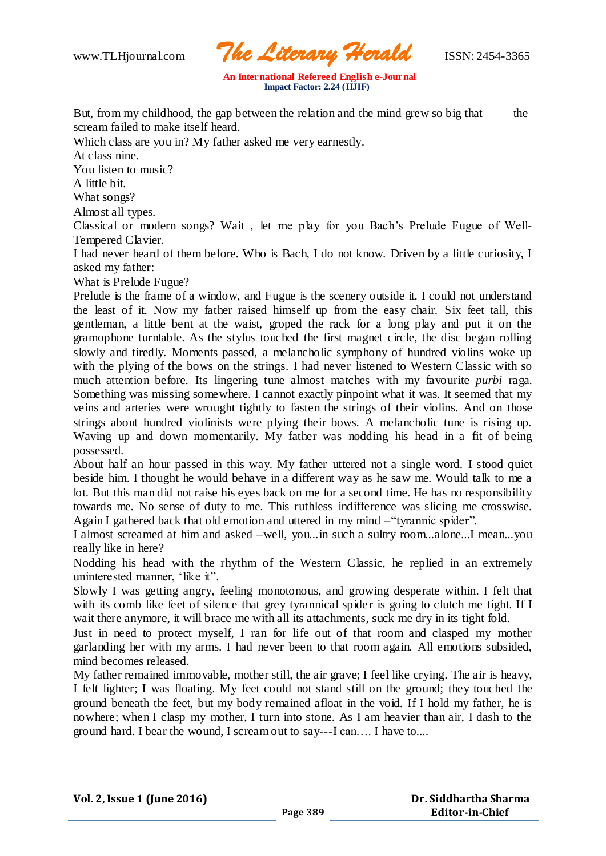www.TLHjournal.com *The Literary Herald*ISSN: 2454-3365

But, from my childhood, the gap between the relation and the mind grew so big that the scream failed to make itself heard.

Which class are you in? My father asked me very earnestly.

At class nine.

You listen to music?

A little bit.

What songs?

Almost all types.

Classical or modern songs? Wait , let me play for you Bach's Prelude Fugue of Well-Tempered Clavier.

I had never heard of them before. Who is Bach, I do not know. Driven by a little curiosity, I asked my father:

What is Prelude Fugue?

Prelude is the frame of a window, and Fugue is the scenery outside it. I could not understand the least of it. Now my father raised himself up from the easy chair. Six feet tall, this gentleman, a little bent at the waist, groped the rack for a long play and put it on the gramophone turntable. As the stylus touched the first magnet circle, the disc began rolling slowly and tiredly. Moments passed, a melancholic symphony of hundred violins woke up with the plying of the bows on the strings. I had never listened to Western Classic with so much attention before. Its lingering tune almost matches with my favourite *purbi* raga. Something was missing somewhere. I cannot exactly pinpoint what it was. It seemed that my veins and arteries were wrought tightly to fasten the strings of their violins. And on those strings about hundred violinists were plying their bows. A melancholic tune is rising up. Waving up and down momentarily. My father was nodding his head in a fit of being possessed.

About half an hour passed in this way. My father uttered not a single word. I stood quiet beside him. I thought he would behave in a different way as he saw me. Would talk to me a lot. But this man did not raise his eyes back on me for a second time. He has no responsibility towards me. No sense of duty to me. This ruthless indifference was slicing me crosswise. Again I gathered back that old emotion and uttered in my mind –"tyrannic spider".

I almost screamed at him and asked –well, you...in such a sultry room...alone...I mean...you really like in here?

Nodding his head with the rhythm of the Western Classic, he replied in an extremely uninterested manner, 'like it".

Slowly I was getting angry, feeling monotonous, and growing desperate within. I felt that with its comb like feet of silence that grey tyrannical spider is going to clutch me tight. If I wait there anymore, it will brace me with all its attachments, suck me dry in its tight fold.

Just in need to protect myself, I ran for life out of that room and clasped my mother garlanding her with my arms. I had never been to that room again. All emotions subsided, mind becomes released.

My father remained immovable, mother still, the air grave; I feel like crying. The air is heavy, I felt lighter; I was floating. My feet could not stand still on the ground; they touched the ground beneath the feet, but my body remained afloat in the void. If I hold my father, he is nowhere; when I clasp my mother, I turn into stone. As I am heavier than air, I dash to the ground hard. I bear the wound, I scream out to say---I can…. I have to....